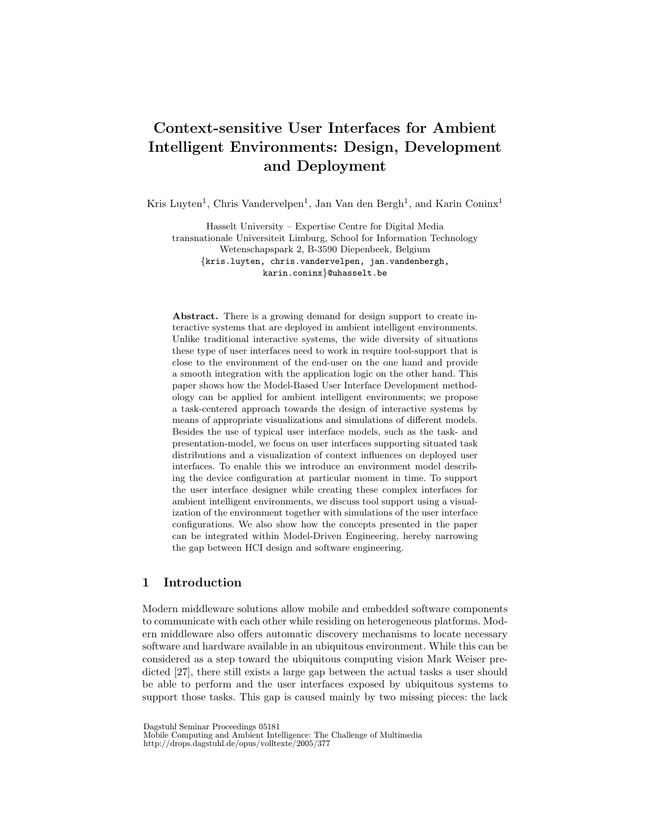# Context-sensitive User Interfaces for Ambient Intelligent Environments: Design, Development and Deployment

Kris Luyten<sup>1</sup>, Chris Vandervelpen<sup>1</sup>, Jan Van den Bergh<sup>1</sup>, and Karin Coninx<sup>1</sup>

Hasselt University – Expertise Centre for Digital Media transnationale Universiteit Limburg, School for Information Technology Wetenschapspark 2, B-3590 Diepenbeek, Belgium {kris.luyten, chris.vandervelpen, jan.vandenbergh, karin.coninx}@uhasselt.be

Abstract. There is a growing demand for design support to create interactive systems that are deployed in ambient intelligent environments. Unlike traditional interactive systems, the wide diversity of situations these type of user interfaces need to work in require tool-support that is close to the environment of the end-user on the one hand and provide a smooth integration with the application logic on the other hand. This paper shows how the Model-Based User Interface Development methodology can be applied for ambient intelligent environments; we propose a task-centered approach towards the design of interactive systems by means of appropriate visualizations and simulations of different models. Besides the use of typical user interface models, such as the task- and presentation-model, we focus on user interfaces supporting situated task distributions and a visualization of context influences on deployed user interfaces. To enable this we introduce an environment model describing the device configuration at particular moment in time. To support the user interface designer while creating these complex interfaces for ambient intelligent environments, we discuss tool support using a visualization of the environment together with simulations of the user interface configurations. We also show how the concepts presented in the paper can be integrated within Model-Driven Engineering, hereby narrowing the gap between HCI design and software engineering.

## 1 Introduction

Modern middleware solutions allow mobile and embedded software components to communicate with each other while residing on heterogeneous platforms. Modern middleware also offers automatic discovery mechanisms to locate necessary software and hardware available in an ubiquitous environment. While this can be considered as a step toward the ubiquitous computing vision Mark Weiser predicted [27], there still exists a large gap between the actual tasks a user should be able to perform and the user interfaces exposed by ubiquitous systems to support those tasks. This gap is caused mainly by two missing pieces: the lack

Dagstuhl Seminar Proceedings 05181

Mobile Computing and Ambient Intelligence: The Challenge of Multimedia http://drops.dagstuhl.de/opus/volltexte/2005/377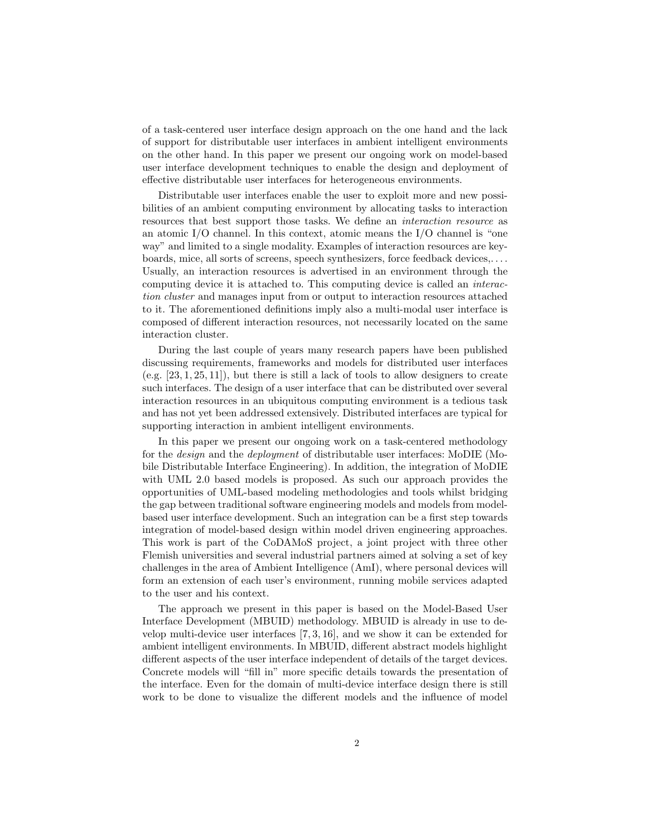of a task-centered user interface design approach on the one hand and the lack of support for distributable user interfaces in ambient intelligent environments on the other hand. In this paper we present our ongoing work on model-based user interface development techniques to enable the design and deployment of effective distributable user interfaces for heterogeneous environments.

Distributable user interfaces enable the user to exploit more and new possibilities of an ambient computing environment by allocating tasks to interaction resources that best support those tasks. We define an interaction resource as an atomic  $I/O$  channel. In this context, atomic means the  $I/O$  channel is "one way" and limited to a single modality. Examples of interaction resources are keyboards, mice, all sorts of screens, speech synthesizers, force feedback devices,. . . . Usually, an interaction resources is advertised in an environment through the computing device it is attached to. This computing device is called an interaction cluster and manages input from or output to interaction resources attached to it. The aforementioned definitions imply also a multi-modal user interface is composed of different interaction resources, not necessarily located on the same interaction cluster.

During the last couple of years many research papers have been published discussing requirements, frameworks and models for distributed user interfaces (e.g.  $[23, 1, 25, 11]$ ), but there is still a lack of tools to allow designers to create such interfaces. The design of a user interface that can be distributed over several interaction resources in an ubiquitous computing environment is a tedious task and has not yet been addressed extensively. Distributed interfaces are typical for supporting interaction in ambient intelligent environments.

In this paper we present our ongoing work on a task-centered methodology for the design and the deployment of distributable user interfaces: MoDIE (Mobile Distributable Interface Engineering). In addition, the integration of MoDIE with UML 2.0 based models is proposed. As such our approach provides the opportunities of UML-based modeling methodologies and tools whilst bridging the gap between traditional software engineering models and models from modelbased user interface development. Such an integration can be a first step towards integration of model-based design within model driven engineering approaches. This work is part of the CoDAMoS project, a joint project with three other Flemish universities and several industrial partners aimed at solving a set of key challenges in the area of Ambient Intelligence (AmI), where personal devices will form an extension of each user's environment, running mobile services adapted to the user and his context.

The approach we present in this paper is based on the Model-Based User Interface Development (MBUID) methodology. MBUID is already in use to develop multi-device user interfaces [7, 3, 16], and we show it can be extended for ambient intelligent environments. In MBUID, different abstract models highlight different aspects of the user interface independent of details of the target devices. Concrete models will "fill in" more specific details towards the presentation of the interface. Even for the domain of multi-device interface design there is still work to be done to visualize the different models and the influence of model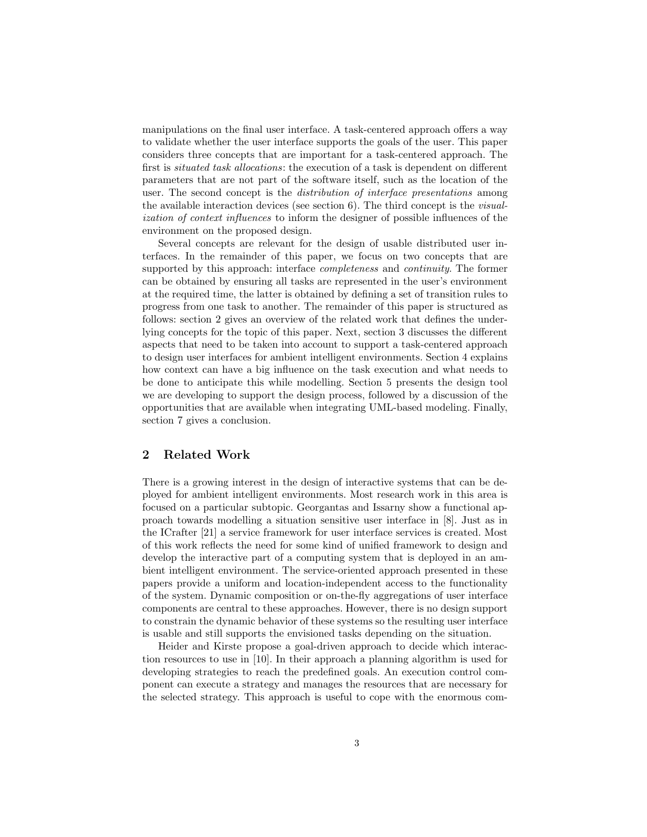manipulations on the final user interface. A task-centered approach offers a way to validate whether the user interface supports the goals of the user. This paper considers three concepts that are important for a task-centered approach. The first is situated task allocations: the execution of a task is dependent on different parameters that are not part of the software itself, such as the location of the user. The second concept is the *distribution of interface presentations* among the available interaction devices (see section 6). The third concept is the visualization of context influences to inform the designer of possible influences of the environment on the proposed design.

Several concepts are relevant for the design of usable distributed user interfaces. In the remainder of this paper, we focus on two concepts that are supported by this approach: interface *completeness* and *continuity*. The former can be obtained by ensuring all tasks are represented in the user's environment at the required time, the latter is obtained by defining a set of transition rules to progress from one task to another. The remainder of this paper is structured as follows: section 2 gives an overview of the related work that defines the underlying concepts for the topic of this paper. Next, section 3 discusses the different aspects that need to be taken into account to support a task-centered approach to design user interfaces for ambient intelligent environments. Section 4 explains how context can have a big influence on the task execution and what needs to be done to anticipate this while modelling. Section 5 presents the design tool we are developing to support the design process, followed by a discussion of the opportunities that are available when integrating UML-based modeling. Finally, section 7 gives a conclusion.

## 2 Related Work

There is a growing interest in the design of interactive systems that can be deployed for ambient intelligent environments. Most research work in this area is focused on a particular subtopic. Georgantas and Issarny show a functional approach towards modelling a situation sensitive user interface in [8]. Just as in the ICrafter [21] a service framework for user interface services is created. Most of this work reflects the need for some kind of unified framework to design and develop the interactive part of a computing system that is deployed in an ambient intelligent environment. The service-oriented approach presented in these papers provide a uniform and location-independent access to the functionality of the system. Dynamic composition or on-the-fly aggregations of user interface components are central to these approaches. However, there is no design support to constrain the dynamic behavior of these systems so the resulting user interface is usable and still supports the envisioned tasks depending on the situation.

Heider and Kirste propose a goal-driven approach to decide which interaction resources to use in [10]. In their approach a planning algorithm is used for developing strategies to reach the predefined goals. An execution control component can execute a strategy and manages the resources that are necessary for the selected strategy. This approach is useful to cope with the enormous com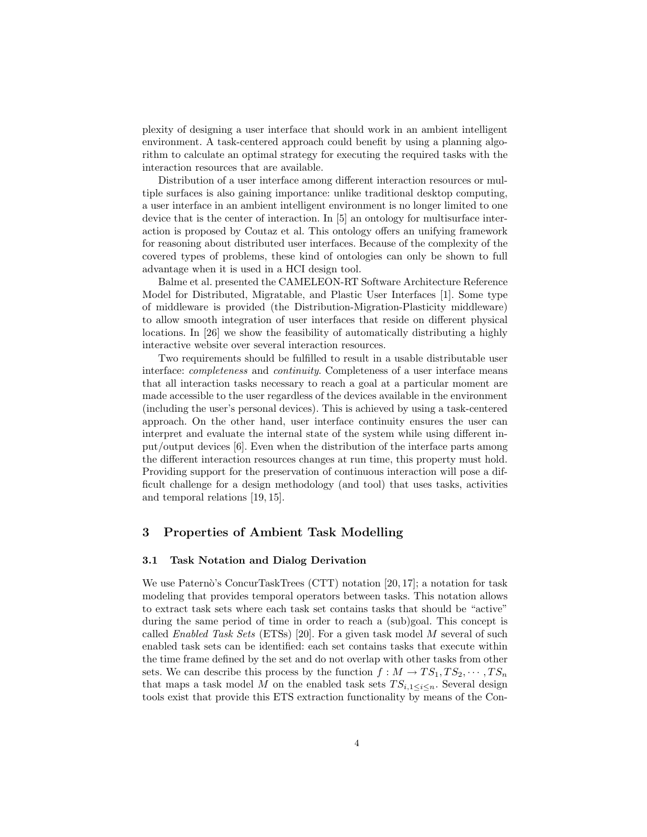plexity of designing a user interface that should work in an ambient intelligent environment. A task-centered approach could benefit by using a planning algorithm to calculate an optimal strategy for executing the required tasks with the interaction resources that are available.

Distribution of a user interface among different interaction resources or multiple surfaces is also gaining importance: unlike traditional desktop computing, a user interface in an ambient intelligent environment is no longer limited to one device that is the center of interaction. In [5] an ontology for multisurface interaction is proposed by Coutaz et al. This ontology offers an unifying framework for reasoning about distributed user interfaces. Because of the complexity of the covered types of problems, these kind of ontologies can only be shown to full advantage when it is used in a HCI design tool.

Balme et al. presented the CAMELEON-RT Software Architecture Reference Model for Distributed, Migratable, and Plastic User Interfaces [1]. Some type of middleware is provided (the Distribution-Migration-Plasticity middleware) to allow smooth integration of user interfaces that reside on different physical locations. In [26] we show the feasibility of automatically distributing a highly interactive website over several interaction resources.

Two requirements should be fulfilled to result in a usable distributable user interface: completeness and continuity. Completeness of a user interface means that all interaction tasks necessary to reach a goal at a particular moment are made accessible to the user regardless of the devices available in the environment (including the user's personal devices). This is achieved by using a task-centered approach. On the other hand, user interface continuity ensures the user can interpret and evaluate the internal state of the system while using different input/output devices [6]. Even when the distribution of the interface parts among the different interaction resources changes at run time, this property must hold. Providing support for the preservation of continuous interaction will pose a difficult challenge for a design methodology (and tool) that uses tasks, activities and temporal relations [19, 15].

## 3 Properties of Ambient Task Modelling

#### 3.1 Task Notation and Dialog Derivation

We use Paterno's ConcurTaskTrees  $(CTT)$  notation [20, 17]; a notation for task modeling that provides temporal operators between tasks. This notation allows to extract task sets where each task set contains tasks that should be "active" during the same period of time in order to reach a (sub)goal. This concept is called Enabled Task Sets (ETSs) [20]. For a given task model M several of such enabled task sets can be identified: each set contains tasks that execute within the time frame defined by the set and do not overlap with other tasks from other sets. We can describe this process by the function  $f : M \to TS_1, TS_2, \cdots, TS_n$ that maps a task model M on the enabled task sets  $TS_{i,1\leq i\leq n}$ . Several design tools exist that provide this ETS extraction functionality by means of the Con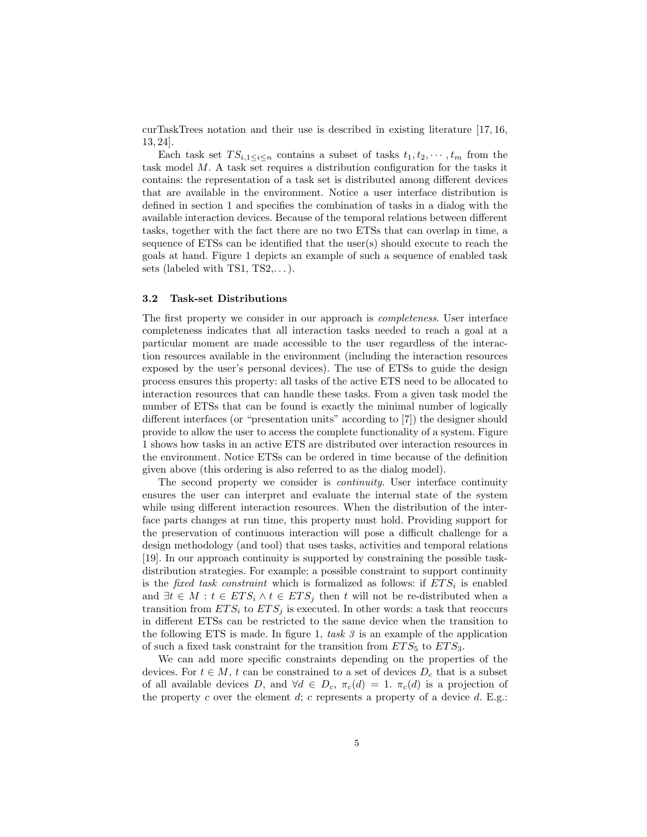curTaskTrees notation and their use is described in existing literature [17, 16, 13, 24].

Each task set  $TS_{i,1\leq i\leq n}$  contains a subset of tasks  $t_1, t_2, \dots, t_m$  from the task model M. A task set requires a distribution configuration for the tasks it contains: the representation of a task set is distributed among different devices that are available in the environment. Notice a user interface distribution is defined in section 1 and specifies the combination of tasks in a dialog with the available interaction devices. Because of the temporal relations between different tasks, together with the fact there are no two ETSs that can overlap in time, a sequence of ETSs can be identified that the user(s) should execute to reach the goals at hand. Figure 1 depicts an example of such a sequence of enabled task sets (labeled with TS1, TS2, $\dots$ ).

#### 3.2 Task-set Distributions

The first property we consider in our approach is completeness. User interface completeness indicates that all interaction tasks needed to reach a goal at a particular moment are made accessible to the user regardless of the interaction resources available in the environment (including the interaction resources exposed by the user's personal devices). The use of ETSs to guide the design process ensures this property: all tasks of the active ETS need to be allocated to interaction resources that can handle these tasks. From a given task model the number of ETSs that can be found is exactly the minimal number of logically different interfaces (or "presentation units" according to [7]) the designer should provide to allow the user to access the complete functionality of a system. Figure 1 shows how tasks in an active ETS are distributed over interaction resources in the environment. Notice ETSs can be ordered in time because of the definition given above (this ordering is also referred to as the dialog model).

The second property we consider is continuity. User interface continuity ensures the user can interpret and evaluate the internal state of the system while using different interaction resources. When the distribution of the interface parts changes at run time, this property must hold. Providing support for the preservation of continuous interaction will pose a difficult challenge for a design methodology (and tool) that uses tasks, activities and temporal relations [19]. In our approach continuity is supported by constraining the possible taskdistribution strategies. For example; a possible constraint to support continuity is the *fixed task constraint* which is formalized as follows: if  $ETS_i$  is enabled and  $\exists t \in M : t \in ETS_i \land t \in ETS_j$  then t will not be re-distributed when a transition from  $ETS_i$  to  $ETS_j$  is executed. In other words: a task that reoccurs in different ETSs can be restricted to the same device when the transition to the following ETS is made. In figure 1, task  $\beta$  is an example of the application of such a fixed task constraint for the transition from  $ETS_5$  to  $ETS_3$ .

We can add more specific constraints depending on the properties of the devices. For  $t \in M$ , t can be constrained to a set of devices  $D_c$  that is a subset of all available devices D, and  $\forall d \in D_c$ ,  $\pi_c(d) = 1$ .  $\pi_c(d)$  is a projection of the property c over the element  $d$ ; c represents a property of a device  $d$ . E.g.: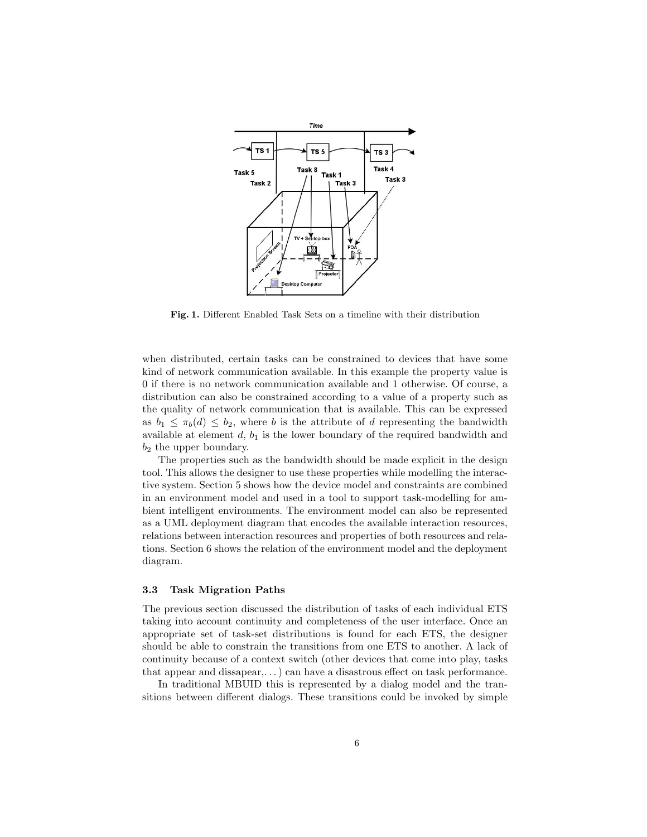

Fig. 1. Different Enabled Task Sets on a timeline with their distribution

when distributed, certain tasks can be constrained to devices that have some kind of network communication available. In this example the property value is 0 if there is no network communication available and 1 otherwise. Of course, a distribution can also be constrained according to a value of a property such as the quality of network communication that is available. This can be expressed as  $b_1 \n\t\leq \pi_b(d) \leq b_2$ , where b is the attribute of d representing the bandwidth available at element  $d, b_1$  is the lower boundary of the required bandwidth and  $b_2$  the upper boundary.

The properties such as the bandwidth should be made explicit in the design tool. This allows the designer to use these properties while modelling the interactive system. Section 5 shows how the device model and constraints are combined in an environment model and used in a tool to support task-modelling for ambient intelligent environments. The environment model can also be represented as a UML deployment diagram that encodes the available interaction resources, relations between interaction resources and properties of both resources and relations. Section 6 shows the relation of the environment model and the deployment diagram.

#### 3.3 Task Migration Paths

The previous section discussed the distribution of tasks of each individual ETS taking into account continuity and completeness of the user interface. Once an appropriate set of task-set distributions is found for each ETS, the designer should be able to constrain the transitions from one ETS to another. A lack of continuity because of a context switch (other devices that come into play, tasks that appear and dissapear,. . . ) can have a disastrous effect on task performance.

In traditional MBUID this is represented by a dialog model and the transitions between different dialogs. These transitions could be invoked by simple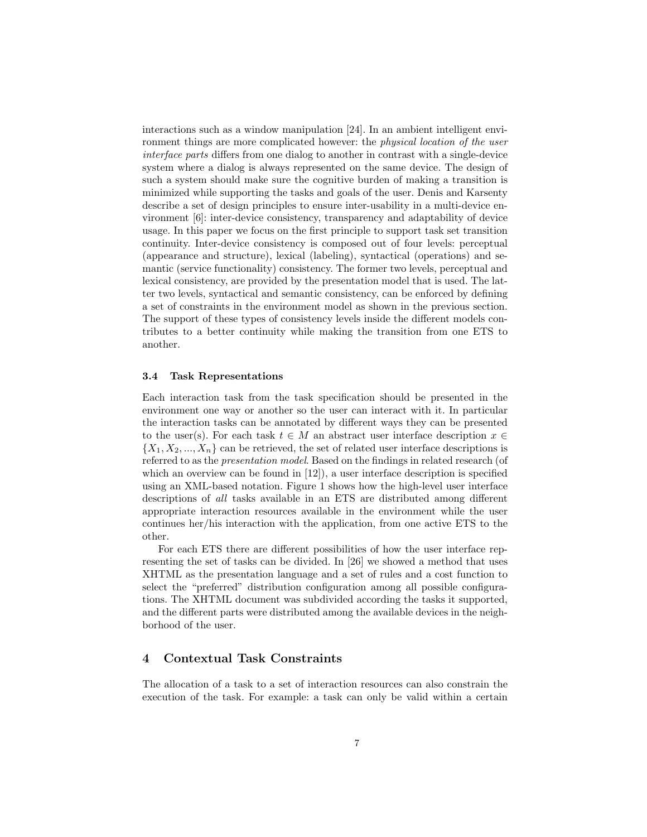interactions such as a window manipulation [24]. In an ambient intelligent environment things are more complicated however: the *physical location of the user* interface parts differs from one dialog to another in contrast with a single-device system where a dialog is always represented on the same device. The design of such a system should make sure the cognitive burden of making a transition is minimized while supporting the tasks and goals of the user. Denis and Karsenty describe a set of design principles to ensure inter-usability in a multi-device environment [6]: inter-device consistency, transparency and adaptability of device usage. In this paper we focus on the first principle to support task set transition continuity. Inter-device consistency is composed out of four levels: perceptual (appearance and structure), lexical (labeling), syntactical (operations) and semantic (service functionality) consistency. The former two levels, perceptual and lexical consistency, are provided by the presentation model that is used. The latter two levels, syntactical and semantic consistency, can be enforced by defining a set of constraints in the environment model as shown in the previous section. The support of these types of consistency levels inside the different models contributes to a better continuity while making the transition from one ETS to another.

#### 3.4 Task Representations

Each interaction task from the task specification should be presented in the environment one way or another so the user can interact with it. In particular the interaction tasks can be annotated by different ways they can be presented to the user(s). For each task  $t \in M$  an abstract user interface description  $x \in$  $\{X_1, X_2, ..., X_n\}$  can be retrieved, the set of related user interface descriptions is referred to as the presentation model. Based on the findings in related research (of which an overview can be found in [12]), a user interface description is specified using an XML-based notation. Figure 1 shows how the high-level user interface descriptions of all tasks available in an ETS are distributed among different appropriate interaction resources available in the environment while the user continues her/his interaction with the application, from one active ETS to the other.

For each ETS there are different possibilities of how the user interface representing the set of tasks can be divided. In [26] we showed a method that uses XHTML as the presentation language and a set of rules and a cost function to select the "preferred" distribution configuration among all possible configurations. The XHTML document was subdivided according the tasks it supported, and the different parts were distributed among the available devices in the neighborhood of the user.

# 4 Contextual Task Constraints

The allocation of a task to a set of interaction resources can also constrain the execution of the task. For example: a task can only be valid within a certain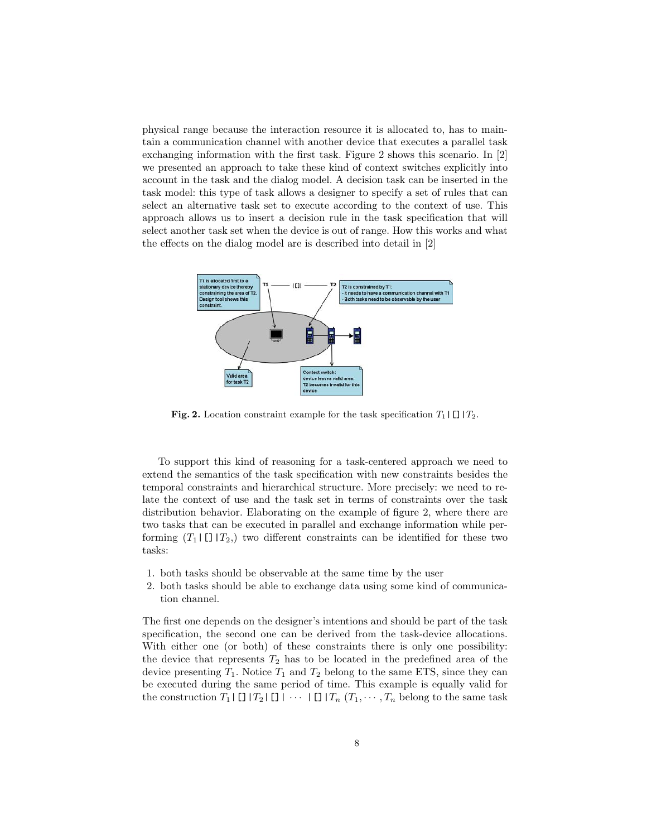physical range because the interaction resource it is allocated to, has to maintain a communication channel with another device that executes a parallel task exchanging information with the first task. Figure 2 shows this scenario. In [2] we presented an approach to take these kind of context switches explicitly into account in the task and the dialog model. A decision task can be inserted in the task model: this type of task allows a designer to specify a set of rules that can select an alternative task set to execute according to the context of use. This approach allows us to insert a decision rule in the task specification that will select another task set when the device is out of range. How this works and what the effects on the dialog model are is described into detail in [2]



**Fig. 2.** Location constraint example for the task specification  $T_1$  []  $|T_2$ .

To support this kind of reasoning for a task-centered approach we need to extend the semantics of the task specification with new constraints besides the temporal constraints and hierarchical structure. More precisely: we need to relate the context of use and the task set in terms of constraints over the task distribution behavior. Elaborating on the example of figure 2, where there are two tasks that can be executed in parallel and exchange information while performing  $(T_1 | \text{E} | T_2)$  two different constraints can be identified for these two tasks:

- 1. both tasks should be observable at the same time by the user
- 2. both tasks should be able to exchange data using some kind of communication channel.

The first one depends on the designer's intentions and should be part of the task specification, the second one can be derived from the task-device allocations. With either one (or both) of these constraints there is only one possibility: the device that represents  $T_2$  has to be located in the predefined area of the device presenting  $T_1$ . Notice  $T_1$  and  $T_2$  belong to the same ETS, since they can be executed during the same period of time. This example is equally valid for the construction  $T_1$ | []| $T_2$ | []|  $\cdots$ | []| $T_n$   $(T_1, \cdots, T_n$  belong to the same task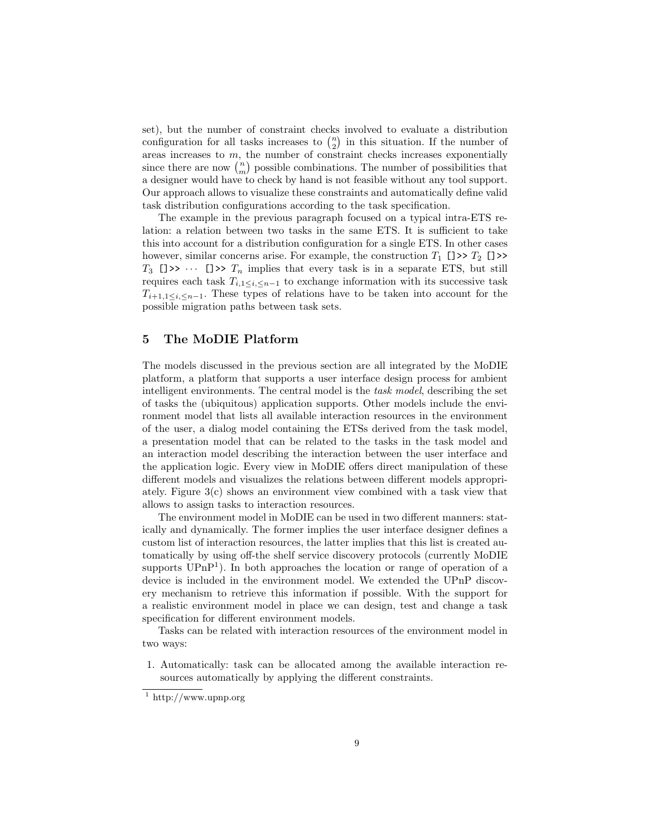set), but the number of constraint checks involved to evaluate a distribution configuration for all tasks increases to  $\binom{n}{2}$  in this situation. If the number of areas increases to m, the number of constraint checks increases exponentially since there are now  $\binom{n}{m}$  possible combinations. The number of possibilities that a designer would have to check by hand is not feasible without any tool support. Our approach allows to visualize these constraints and automatically define valid task distribution configurations according to the task specification.

The example in the previous paragraph focused on a typical intra-ETS relation: a relation between two tasks in the same ETS. It is sufficient to take this into account for a distribution configuration for a single ETS. In other cases however, similar concerns arise. For example, the construction  $T_1$  []>>  $T_2$  []>>  $T_3$  []>>  $\cdots$  []>>  $T_n$  implies that every task is in a separate ETS, but still requires each task  $T_{i,1\leq i,\leq n-1}$  to exchange information with its successive task  $T_{i+1,1\leq i,\leq n-1}$ . These types of relations have to be taken into account for the possible migration paths between task sets.

## 5 The MoDIE Platform

The models discussed in the previous section are all integrated by the MoDIE platform, a platform that supports a user interface design process for ambient intelligent environments. The central model is the task model, describing the set of tasks the (ubiquitous) application supports. Other models include the environment model that lists all available interaction resources in the environment of the user, a dialog model containing the ETSs derived from the task model, a presentation model that can be related to the tasks in the task model and an interaction model describing the interaction between the user interface and the application logic. Every view in MoDIE offers direct manipulation of these different models and visualizes the relations between different models appropriately. Figure 3(c) shows an environment view combined with a task view that allows to assign tasks to interaction resources.

The environment model in MoDIE can be used in two different manners: statically and dynamically. The former implies the user interface designer defines a custom list of interaction resources, the latter implies that this list is created automatically by using off-the shelf service discovery protocols (currently MoDIE supports UPnP<sup>1</sup>). In both approaches the location or range of operation of a device is included in the environment model. We extended the UPnP discovery mechanism to retrieve this information if possible. With the support for a realistic environment model in place we can design, test and change a task specification for different environment models.

Tasks can be related with interaction resources of the environment model in two ways:

1. Automatically: task can be allocated among the available interaction resources automatically by applying the different constraints.

 $1$  http://www.upnp.org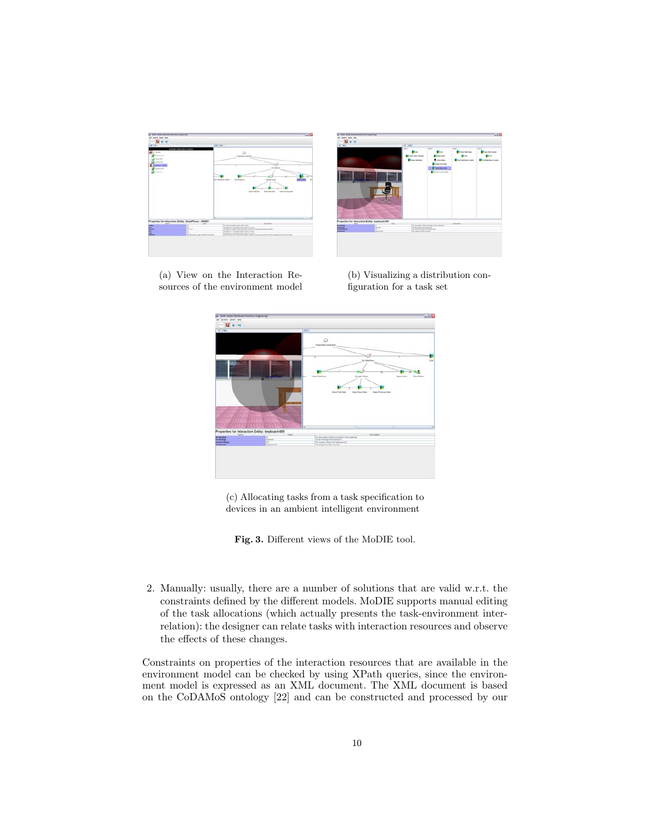





(b) Visualizing a distribution configuration for a task set



(c) Allocating tasks from a task specification to devices in an ambient intelligent environment

Fig. 3. Different views of the MoDIE tool.

2. Manually: usually, there are a number of solutions that are valid w.r.t. the constraints defined by the different models. MoDIE supports manual editing of the task allocations (which actually presents the task-environment interrelation): the designer can relate tasks with interaction resources and observe the effects of these changes.

Constraints on properties of the interaction resources that are available in the environment model can be checked by using XPath queries, since the environment model is expressed as an XML document. The XML document is based on the CoDAMoS ontology [22] and can be constructed and processed by our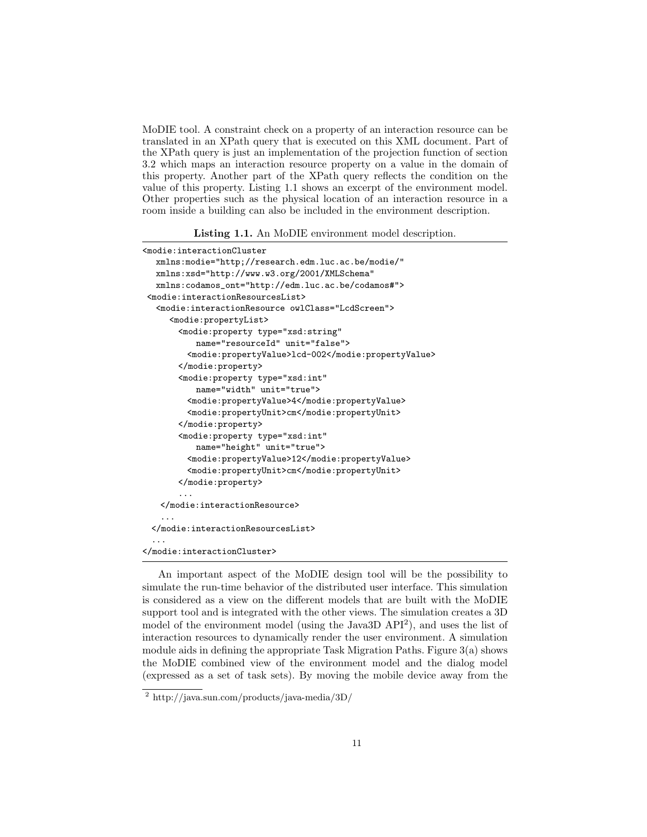MoDIE tool. A constraint check on a property of an interaction resource can be translated in an XPath query that is executed on this XML document. Part of the XPath query is just an implementation of the projection function of section 3.2 which maps an interaction resource property on a value in the domain of this property. Another part of the XPath query reflects the condition on the value of this property. Listing 1.1 shows an excerpt of the environment model. Other properties such as the physical location of an interaction resource in a room inside a building can also be included in the environment description.

Listing 1.1. An MoDIE environment model description.

```
<modie:interactionCluster
  xmlns:modie="http;//research.edm.luc.ac.be/modie/"
  xmlns:xsd="http://www.w3.org/2001/XMLSchema"
  xmlns:codamos_ont="http://edm.luc.ac.be/codamos#">
<modie:interactionResourcesList>
  <modie:interactionResource owlClass="LcdScreen">
     <modie:propertyList>
       <modie:property type="xsd:string"
          name="resourceId" unit="false">
         <modie:propertyValue>lcd-002</modie:propertyValue>
       </modie:property>
       <modie:property type="xsd:int"
          name="width" unit="true">
         <modie:propertyValue>4</modie:propertyValue>
         <modie:propertyUnit>cm</modie:propertyUnit>
       </modie:property>
       <modie:property type="xsd:int"
          name="height" unit="true">
         <modie:propertyValue>12</modie:propertyValue>
         <modie:propertyUnit>cm</modie:propertyUnit>
       </modie:property>
       ...
   </modie:interactionResource>
    ...
 </modie:interactionResourcesList>
  ...
</modie:interactionCluster>
```
An important aspect of the MoDIE design tool will be the possibility to simulate the run-time behavior of the distributed user interface. This simulation is considered as a view on the different models that are built with the MoDIE support tool and is integrated with the other views. The simulation creates a 3D model of the environment model (using the Java3D API<sup>2</sup>), and uses the list of interaction resources to dynamically render the user environment. A simulation module aids in defining the appropriate Task Migration Paths. Figure 3(a) shows the MoDIE combined view of the environment model and the dialog model (expressed as a set of task sets). By moving the mobile device away from the

<sup>2</sup> http://java.sun.com/products/java-media/3D/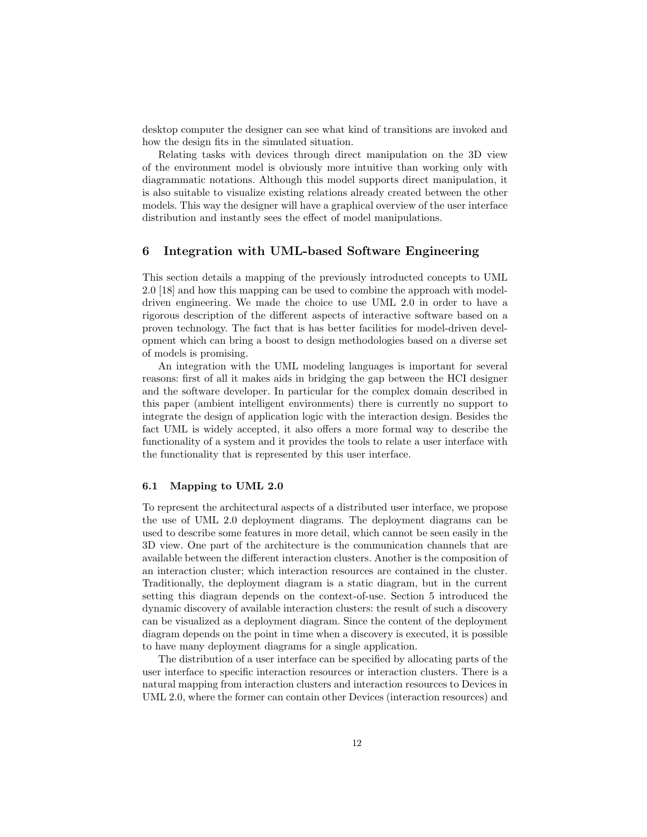desktop computer the designer can see what kind of transitions are invoked and how the design fits in the simulated situation.

Relating tasks with devices through direct manipulation on the 3D view of the environment model is obviously more intuitive than working only with diagrammatic notations. Although this model supports direct manipulation, it is also suitable to visualize existing relations already created between the other models. This way the designer will have a graphical overview of the user interface distribution and instantly sees the effect of model manipulations.

## 6 Integration with UML-based Software Engineering

This section details a mapping of the previously introducted concepts to UML 2.0 [18] and how this mapping can be used to combine the approach with modeldriven engineering. We made the choice to use UML 2.0 in order to have a rigorous description of the different aspects of interactive software based on a proven technology. The fact that is has better facilities for model-driven development which can bring a boost to design methodologies based on a diverse set of models is promising.

An integration with the UML modeling languages is important for several reasons: first of all it makes aids in bridging the gap between the HCI designer and the software developer. In particular for the complex domain described in this paper (ambient intelligent environments) there is currently no support to integrate the design of application logic with the interaction design. Besides the fact UML is widely accepted, it also offers a more formal way to describe the functionality of a system and it provides the tools to relate a user interface with the functionality that is represented by this user interface.

#### 6.1 Mapping to UML 2.0

To represent the architectural aspects of a distributed user interface, we propose the use of UML 2.0 deployment diagrams. The deployment diagrams can be used to describe some features in more detail, which cannot be seen easily in the 3D view. One part of the architecture is the communication channels that are available between the different interaction clusters. Another is the composition of an interaction cluster; which interaction resources are contained in the cluster. Traditionally, the deployment diagram is a static diagram, but in the current setting this diagram depends on the context-of-use. Section 5 introduced the dynamic discovery of available interaction clusters: the result of such a discovery can be visualized as a deployment diagram. Since the content of the deployment diagram depends on the point in time when a discovery is executed, it is possible to have many deployment diagrams for a single application.

The distribution of a user interface can be specified by allocating parts of the user interface to specific interaction resources or interaction clusters. There is a natural mapping from interaction clusters and interaction resources to Devices in UML 2.0, where the former can contain other Devices (interaction resources) and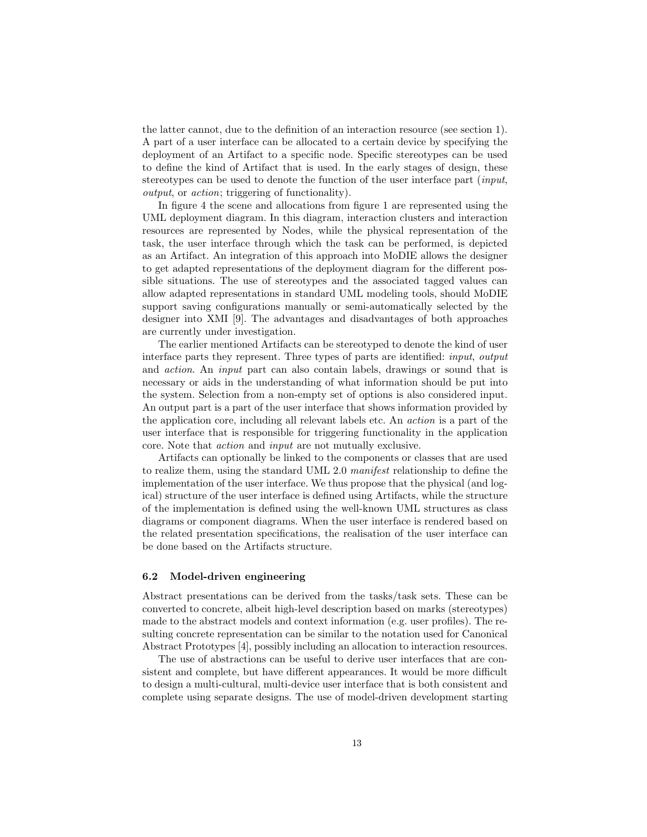the latter cannot, due to the definition of an interaction resource (see section 1). A part of a user interface can be allocated to a certain device by specifying the deployment of an Artifact to a specific node. Specific stereotypes can be used to define the kind of Artifact that is used. In the early stages of design, these stereotypes can be used to denote the function of the user interface part (input, output, or action; triggering of functionality).

In figure 4 the scene and allocations from figure 1 are represented using the UML deployment diagram. In this diagram, interaction clusters and interaction resources are represented by Nodes, while the physical representation of the task, the user interface through which the task can be performed, is depicted as an Artifact. An integration of this approach into MoDIE allows the designer to get adapted representations of the deployment diagram for the different possible situations. The use of stereotypes and the associated tagged values can allow adapted representations in standard UML modeling tools, should MoDIE support saving configurations manually or semi-automatically selected by the designer into XMI [9]. The advantages and disadvantages of both approaches are currently under investigation.

The earlier mentioned Artifacts can be stereotyped to denote the kind of user interface parts they represent. Three types of parts are identified: input, output and action. An input part can also contain labels, drawings or sound that is necessary or aids in the understanding of what information should be put into the system. Selection from a non-empty set of options is also considered input. An output part is a part of the user interface that shows information provided by the application core, including all relevant labels etc. An action is a part of the user interface that is responsible for triggering functionality in the application core. Note that action and input are not mutually exclusive.

Artifacts can optionally be linked to the components or classes that are used to realize them, using the standard UML 2.0 manifest relationship to define the implementation of the user interface. We thus propose that the physical (and logical) structure of the user interface is defined using Artifacts, while the structure of the implementation is defined using the well-known UML structures as class diagrams or component diagrams. When the user interface is rendered based on the related presentation specifications, the realisation of the user interface can be done based on the Artifacts structure.

#### 6.2 Model-driven engineering

Abstract presentations can be derived from the tasks/task sets. These can be converted to concrete, albeit high-level description based on marks (stereotypes) made to the abstract models and context information (e.g. user profiles). The resulting concrete representation can be similar to the notation used for Canonical Abstract Prototypes [4], possibly including an allocation to interaction resources.

The use of abstractions can be useful to derive user interfaces that are consistent and complete, but have different appearances. It would be more difficult to design a multi-cultural, multi-device user interface that is both consistent and complete using separate designs. The use of model-driven development starting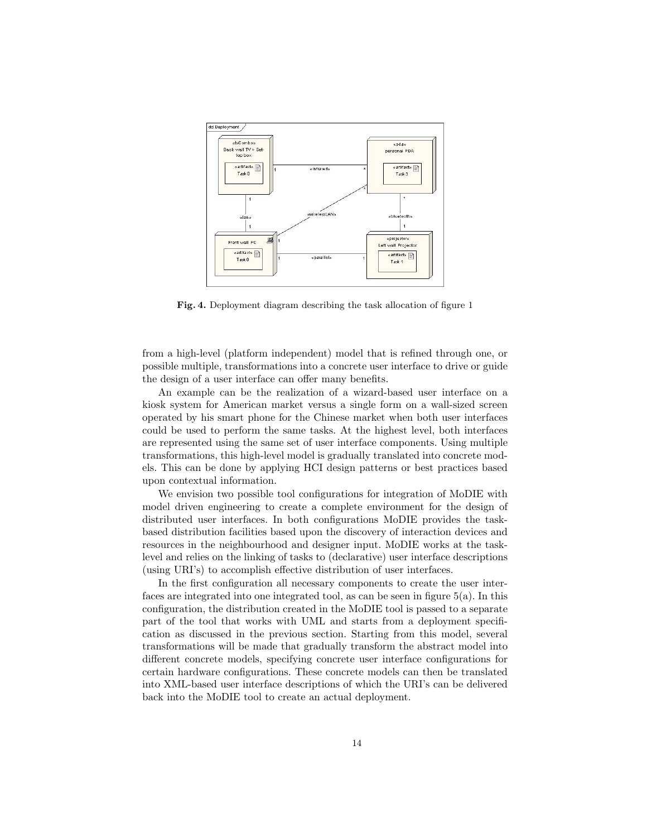

Fig. 4. Deployment diagram describing the task allocation of figure 1

from a high-level (platform independent) model that is refined through one, or possible multiple, transformations into a concrete user interface to drive or guide the design of a user interface can offer many benefits.

An example can be the realization of a wizard-based user interface on a kiosk system for American market versus a single form on a wall-sized screen operated by his smart phone for the Chinese market when both user interfaces could be used to perform the same tasks. At the highest level, both interfaces are represented using the same set of user interface components. Using multiple transformations, this high-level model is gradually translated into concrete models. This can be done by applying HCI design patterns or best practices based upon contextual information.

We envision two possible tool configurations for integration of MoDIE with model driven engineering to create a complete environment for the design of distributed user interfaces. In both configurations MoDIE provides the taskbased distribution facilities based upon the discovery of interaction devices and resources in the neighbourhood and designer input. MoDIE works at the tasklevel and relies on the linking of tasks to (declarative) user interface descriptions (using URI's) to accomplish effective distribution of user interfaces.

In the first configuration all necessary components to create the user interfaces are integrated into one integrated tool, as can be seen in figure 5(a). In this configuration, the distribution created in the MoDIE tool is passed to a separate part of the tool that works with UML and starts from a deployment specification as discussed in the previous section. Starting from this model, several transformations will be made that gradually transform the abstract model into different concrete models, specifying concrete user interface configurations for certain hardware configurations. These concrete models can then be translated into XML-based user interface descriptions of which the URI's can be delivered back into the MoDIE tool to create an actual deployment.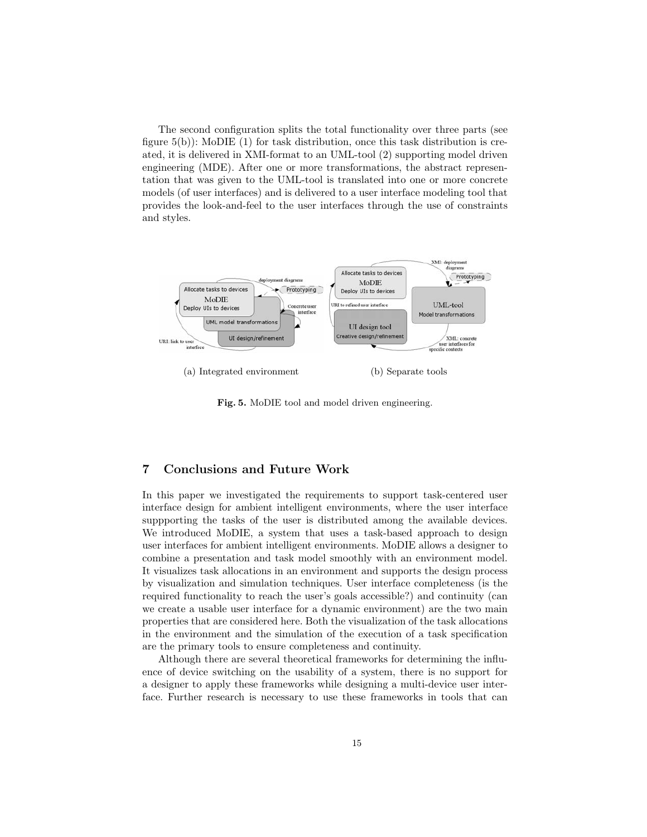The second configuration splits the total functionality over three parts (see figure 5(b)): MoDIE (1) for task distribution, once this task distribution is created, it is delivered in XMI-format to an UML-tool (2) supporting model driven engineering (MDE). After one or more transformations, the abstract representation that was given to the UML-tool is translated into one or more concrete models (of user interfaces) and is delivered to a user interface modeling tool that provides the look-and-feel to the user interfaces through the use of constraints and styles.



Fig. 5. MoDIE tool and model driven engineering.

# 7 Conclusions and Future Work

In this paper we investigated the requirements to support task-centered user interface design for ambient intelligent environments, where the user interface suppporting the tasks of the user is distributed among the available devices. We introduced MoDIE, a system that uses a task-based approach to design user interfaces for ambient intelligent environments. MoDIE allows a designer to combine a presentation and task model smoothly with an environment model. It visualizes task allocations in an environment and supports the design process by visualization and simulation techniques. User interface completeness (is the required functionality to reach the user's goals accessible?) and continuity (can we create a usable user interface for a dynamic environment) are the two main properties that are considered here. Both the visualization of the task allocations in the environment and the simulation of the execution of a task specification are the primary tools to ensure completeness and continuity.

Although there are several theoretical frameworks for determining the influence of device switching on the usability of a system, there is no support for a designer to apply these frameworks while designing a multi-device user interface. Further research is necessary to use these frameworks in tools that can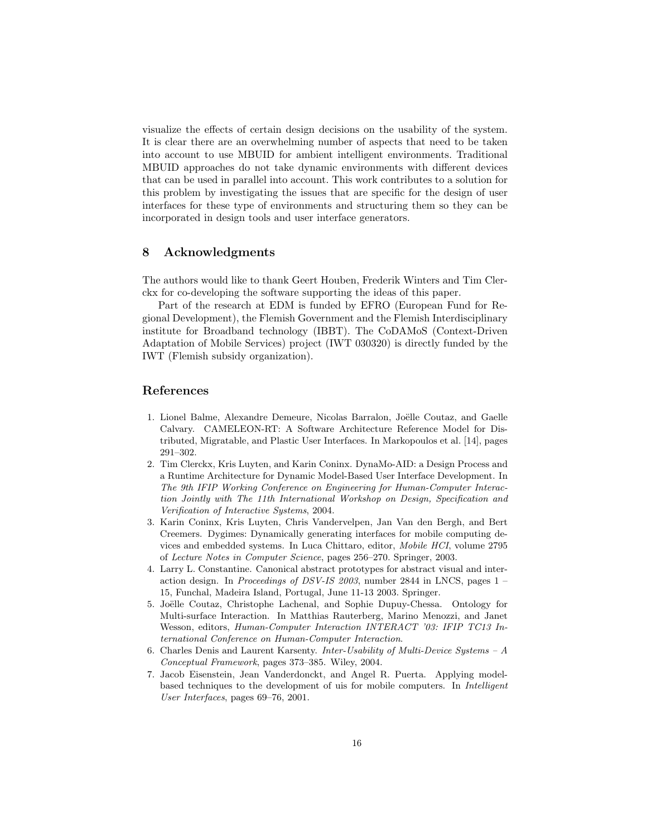visualize the effects of certain design decisions on the usability of the system. It is clear there are an overwhelming number of aspects that need to be taken into account to use MBUID for ambient intelligent environments. Traditional MBUID approaches do not take dynamic environments with different devices that can be used in parallel into account. This work contributes to a solution for this problem by investigating the issues that are specific for the design of user interfaces for these type of environments and structuring them so they can be incorporated in design tools and user interface generators.

## 8 Acknowledgments

The authors would like to thank Geert Houben, Frederik Winters and Tim Clerckx for co-developing the software supporting the ideas of this paper.

Part of the research at EDM is funded by EFRO (European Fund for Regional Development), the Flemish Government and the Flemish Interdisciplinary institute for Broadband technology (IBBT). The CoDAMoS (Context-Driven Adaptation of Mobile Services) project (IWT 030320) is directly funded by the IWT (Flemish subsidy organization).

## References

- 1. Lionel Balme, Alexandre Demeure, Nicolas Barralon, Joëlle Coutaz, and Gaelle Calvary. CAMELEON-RT: A Software Architecture Reference Model for Distributed, Migratable, and Plastic User Interfaces. In Markopoulos et al. [14], pages 291–302.
- 2. Tim Clerckx, Kris Luyten, and Karin Coninx. DynaMo-AID: a Design Process and a Runtime Architecture for Dynamic Model-Based User Interface Development. In The 9th IFIP Working Conference on Engineering for Human-Computer Interaction Jointly with The 11th International Workshop on Design, Specification and Verification of Interactive Systems, 2004.
- 3. Karin Coninx, Kris Luyten, Chris Vandervelpen, Jan Van den Bergh, and Bert Creemers. Dygimes: Dynamically generating interfaces for mobile computing devices and embedded systems. In Luca Chittaro, editor, Mobile HCI, volume 2795 of Lecture Notes in Computer Science, pages 256–270. Springer, 2003.
- 4. Larry L. Constantine. Canonical abstract prototypes for abstract visual and interaction design. In Proceedings of DSV-IS 2003, number 2844 in LNCS, pages  $1$  – 15, Funchal, Madeira Island, Portugal, June 11-13 2003. Springer.
- 5. Joëlle Coutaz, Christophe Lachenal, and Sophie Dupuy-Chessa. Ontology for Multi-surface Interaction. In Matthias Rauterberg, Marino Menozzi, and Janet Wesson, editors, Human-Computer Interaction INTERACT '03: IFIP TC13 International Conference on Human-Computer Interaction.
- 6. Charles Denis and Laurent Karsenty. Inter-Usability of Multi-Device Systems A Conceptual Framework, pages 373–385. Wiley, 2004.
- 7. Jacob Eisenstein, Jean Vanderdonckt, and Angel R. Puerta. Applying modelbased techniques to the development of uis for mobile computers. In Intelligent User Interfaces, pages 69–76, 2001.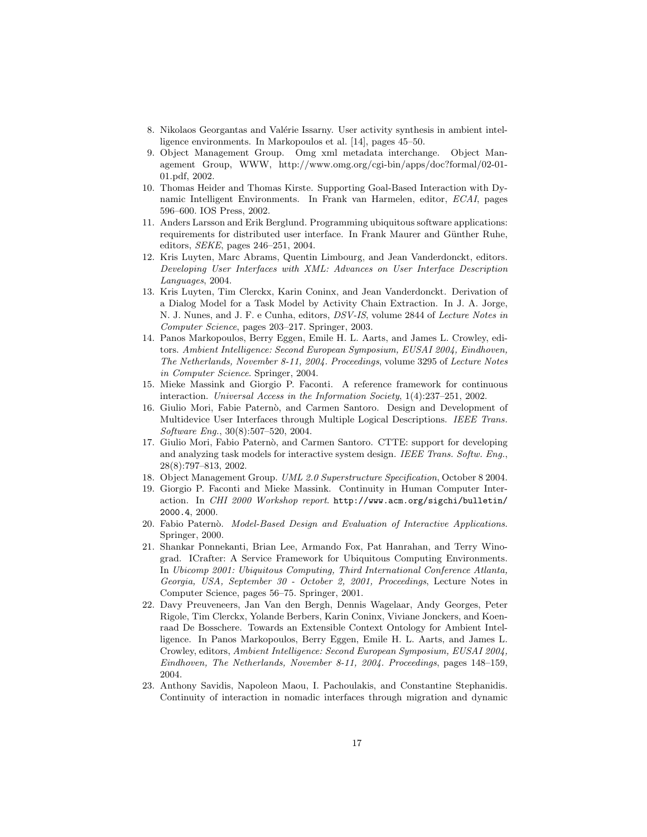- 8. Nikolaos Georgantas and Valérie Issarny. User activity synthesis in ambient intelligence environments. In Markopoulos et al. [14], pages 45–50.
- 9. Object Management Group. Omg xml metadata interchange. Object Management Group, WWW, http://www.omg.org/cgi-bin/apps/doc?formal/02-01- 01.pdf, 2002.
- 10. Thomas Heider and Thomas Kirste. Supporting Goal-Based Interaction with Dynamic Intelligent Environments. In Frank van Harmelen, editor, ECAI, pages 596–600. IOS Press, 2002.
- 11. Anders Larsson and Erik Berglund. Programming ubiquitous software applications: requirements for distributed user interface. In Frank Maurer and Günther Ruhe, editors, SEKE, pages 246–251, 2004.
- 12. Kris Luyten, Marc Abrams, Quentin Limbourg, and Jean Vanderdonckt, editors. Developing User Interfaces with XML: Advances on User Interface Description Languages, 2004.
- 13. Kris Luyten, Tim Clerckx, Karin Coninx, and Jean Vanderdonckt. Derivation of a Dialog Model for a Task Model by Activity Chain Extraction. In J. A. Jorge, N. J. Nunes, and J. F. e Cunha, editors, DSV-IS, volume 2844 of Lecture Notes in Computer Science, pages 203–217. Springer, 2003.
- 14. Panos Markopoulos, Berry Eggen, Emile H. L. Aarts, and James L. Crowley, editors. Ambient Intelligence: Second European Symposium, EUSAI 2004, Eindhoven, The Netherlands, November 8-11, 2004. Proceedings, volume 3295 of Lecture Notes in Computer Science. Springer, 2004.
- 15. Mieke Massink and Giorgio P. Faconti. A reference framework for continuous interaction. Universal Access in the Information Society, 1(4):237–251, 2002.
- 16. Giulio Mori, Fabie Patern`o, and Carmen Santoro. Design and Development of Multidevice User Interfaces through Multiple Logical Descriptions. IEEE Trans. Software Eng., 30(8):507–520, 2004.
- 17. Giulio Mori, Fabio Patern`o, and Carmen Santoro. CTTE: support for developing and analyzing task models for interactive system design. IEEE Trans. Softw. Eng., 28(8):797–813, 2002.
- 18. Object Management Group. UML 2.0 Superstructure Specification, October 8 2004.
- 19. Giorgio P. Faconti and Mieke Massink. Continuity in Human Computer Interaction. In CHI 2000 Workshop report. http://www.acm.org/sigchi/bulletin/ 2000.4, 2000.
- 20. Fabio Paternò. Model-Based Design and Evaluation of Interactive Applications. Springer, 2000.
- 21. Shankar Ponnekanti, Brian Lee, Armando Fox, Pat Hanrahan, and Terry Winograd. ICrafter: A Service Framework for Ubiquitous Computing Environments. In Ubicomp 2001: Ubiquitous Computing, Third International Conference Atlanta, Georgia, USA, September 30 - October 2, 2001, Proceedings, Lecture Notes in Computer Science, pages 56–75. Springer, 2001.
- 22. Davy Preuveneers, Jan Van den Bergh, Dennis Wagelaar, Andy Georges, Peter Rigole, Tim Clerckx, Yolande Berbers, Karin Coninx, Viviane Jonckers, and Koenraad De Bosschere. Towards an Extensible Context Ontology for Ambient Intelligence. In Panos Markopoulos, Berry Eggen, Emile H. L. Aarts, and James L. Crowley, editors, Ambient Intelligence: Second European Symposium, EUSAI 2004, Eindhoven, The Netherlands, November 8-11, 2004. Proceedings, pages 148–159, 2004.
- 23. Anthony Savidis, Napoleon Maou, I. Pachoulakis, and Constantine Stephanidis. Continuity of interaction in nomadic interfaces through migration and dynamic